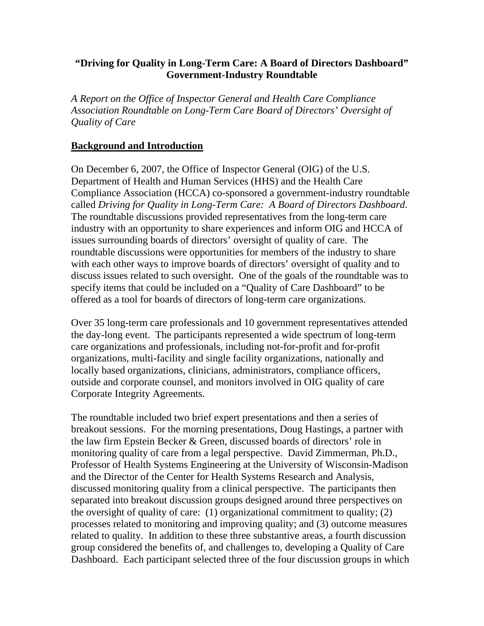#### **"Driving for Quality in Long-Term Care: A Board of Directors Dashboard" Government-Industry Roundtable**

*A Report on the Office of Inspector General and Health Care Compliance Association Roundtable on Long-Term Care Board of Directors' Oversight of Quality of Care* 

#### **Background and Introduction**

On December 6, 2007, the Office of Inspector General (OIG) of the U.S. Department of Health and Human Services (HHS) and the Health Care Compliance Association (HCCA) co-sponsored a government-industry roundtable called *Driving for Quality in Long-Term Care: A Board of Directors Dashboard*. The roundtable discussions provided representatives from the long-term care industry with an opportunity to share experiences and inform OIG and HCCA of issues surrounding boards of directors' oversight of quality of care. The roundtable discussions were opportunities for members of the industry to share with each other ways to improve boards of directors' oversight of quality and to discuss issues related to such oversight. One of the goals of the roundtable was to specify items that could be included on a "Quality of Care Dashboard" to be offered as a tool for boards of directors of long-term care organizations.

Over 35 long-term care professionals and 10 government representatives attended the day-long event. The participants represented a wide spectrum of long-term care organizations and professionals, including not-for-profit and for-profit organizations, multi-facility and single facility organizations, nationally and locally based organizations, clinicians, administrators, compliance officers, outside and corporate counsel, and monitors involved in OIG quality of care Corporate Integrity Agreements.

The roundtable included two brief expert presentations and then a series of breakout sessions. For the morning presentations, Doug Hastings, a partner with the law firm Epstein Becker & Green, discussed boards of directors' role in monitoring quality of care from a legal perspective. David Zimmerman, Ph.D., Professor of Health Systems Engineering at the University of Wisconsin-Madison and the Director of the Center for Health Systems Research and Analysis, discussed monitoring quality from a clinical perspective. The participants then separated into breakout discussion groups designed around three perspectives on the oversight of quality of care: (1) organizational commitment to quality; (2) processes related to monitoring and improving quality; and (3) outcome measures related to quality. In addition to these three substantive areas, a fourth discussion group considered the benefits of, and challenges to, developing a Quality of Care Dashboard. Each participant selected three of the four discussion groups in which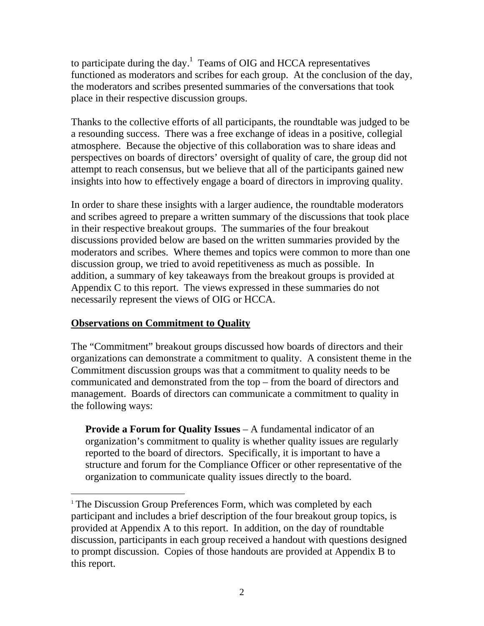to participate during the day.<sup>1</sup> Teams of OIG and HCCA representatives functioned as moderators and scribes for each group. At the conclusion of the day, the moderators and scribes presented summaries of the conversations that took place in their respective discussion groups.

Thanks to the collective efforts of all participants, the roundtable was judged to be a resounding success. There was a free exchange of ideas in a positive, collegial atmosphere. Because the objective of this collaboration was to share ideas and perspectives on boards of directors' oversight of quality of care, the group did not attempt to reach consensus, but we believe that all of the participants gained new insights into how to effectively engage a board of directors in improving quality.

In order to share these insights with a larger audience, the roundtable moderators and scribes agreed to prepare a written summary of the discussions that took place in their respective breakout groups. The summaries of the four breakout discussions provided below are based on the written summaries provided by the moderators and scribes. Where themes and topics were common to more than one discussion group, we tried to avoid repetitiveness as much as possible. In addition, a summary of key takeaways from the breakout groups is provided at Appendix C to this report. The views expressed in these summaries do not necessarily represent the views of OIG or HCCA.

### **Observations on Commitment to Quality**

 $\overline{a}$ 

The "Commitment" breakout groups discussed how boards of directors and their organizations can demonstrate a commitment to quality. A consistent theme in the Commitment discussion groups was that a commitment to quality needs to be communicated and demonstrated from the top – from the board of directors and management. Boards of directors can communicate a commitment to quality in the following ways:

**Provide a Forum for Quality Issues** – A fundamental indicator of an organization's commitment to quality is whether quality issues are regularly reported to the board of directors. Specifically, it is important to have a structure and forum for the Compliance Officer or other representative of the organization to communicate quality issues directly to the board.

<sup>&</sup>lt;sup>1</sup> The Discussion Group Preferences Form, which was completed by each participant and includes a brief description of the four breakout group topics, is provided at Appendix A to this report. In addition, on the day of roundtable discussion, participants in each group received a handout with questions designed to prompt discussion. Copies of those handouts are provided at Appendix B to this report.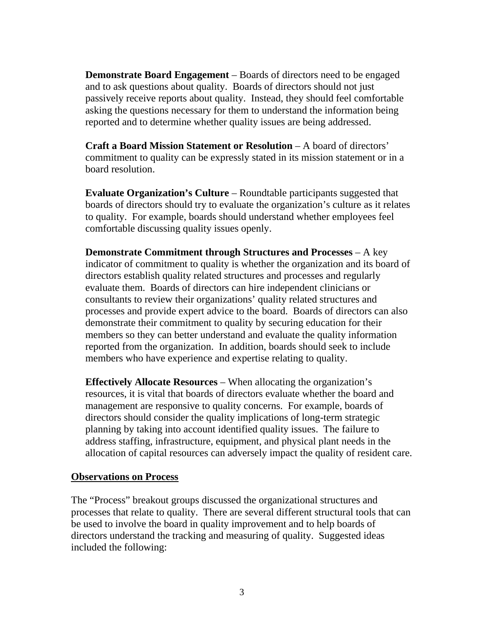**Demonstrate Board Engagement** – Boards of directors need to be engaged and to ask questions about quality. Boards of directors should not just passively receive reports about quality. Instead, they should feel comfortable asking the questions necessary for them to understand the information being reported and to determine whether quality issues are being addressed.

**Craft a Board Mission Statement or Resolution** – A board of directors' commitment to quality can be expressly stated in its mission statement or in a board resolution.

**Evaluate Organization's Culture** – Roundtable participants suggested that boards of directors should try to evaluate the organization's culture as it relates to quality. For example, boards should understand whether employees feel comfortable discussing quality issues openly.

**Demonstrate Commitment through Structures and Processes** – A key indicator of commitment to quality is whether the organization and its board of directors establish quality related structures and processes and regularly evaluate them. Boards of directors can hire independent clinicians or consultants to review their organizations' quality related structures and processes and provide expert advice to the board. Boards of directors can also demonstrate their commitment to quality by securing education for their members so they can better understand and evaluate the quality information reported from the organization. In addition, boards should seek to include members who have experience and expertise relating to quality.

**Effectively Allocate Resources** – When allocating the organization's resources, it is vital that boards of directors evaluate whether the board and management are responsive to quality concerns. For example, boards of directors should consider the quality implications of long-term strategic planning by taking into account identified quality issues. The failure to address staffing, infrastructure, equipment, and physical plant needs in the allocation of capital resources can adversely impact the quality of resident care.

#### **Observations on Process**

The "Process" breakout groups discussed the organizational structures and processes that relate to quality. There are several different structural tools that can be used to involve the board in quality improvement and to help boards of directors understand the tracking and measuring of quality. Suggested ideas included the following: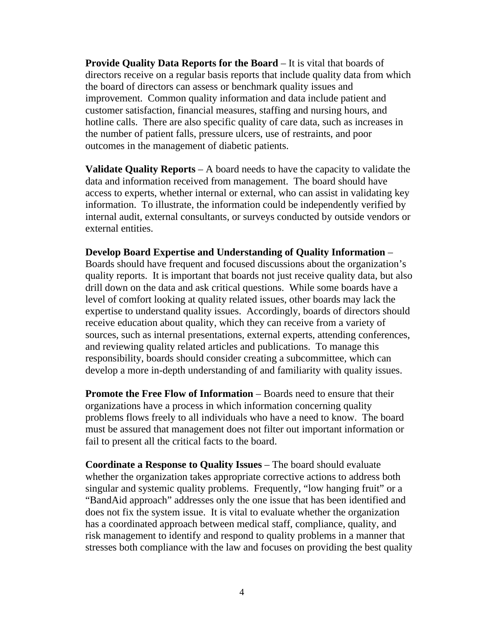**Provide Quality Data Reports for the Board** – It is vital that boards of directors receive on a regular basis reports that include quality data from which the board of directors can assess or benchmark quality issues and improvement. Common quality information and data include patient and customer satisfaction, financial measures, staffing and nursing hours, and hotline calls. There are also specific quality of care data, such as increases in the number of patient falls, pressure ulcers, use of restraints, and poor outcomes in the management of diabetic patients.

**Validate Quality Reports** – A board needs to have the capacity to validate the data and information received from management. The board should have access to experts, whether internal or external, who can assist in validating key information. To illustrate, the information could be independently verified by internal audit, external consultants, or surveys conducted by outside vendors or external entities.

**Develop Board Expertise and Understanding of Quality Information** – Boards should have frequent and focused discussions about the organization's quality reports. It is important that boards not just receive quality data, but also drill down on the data and ask critical questions. While some boards have a level of comfort looking at quality related issues, other boards may lack the expertise to understand quality issues. Accordingly, boards of directors should receive education about quality, which they can receive from a variety of sources, such as internal presentations, external experts, attending conferences, and reviewing quality related articles and publications. To manage this responsibility, boards should consider creating a subcommittee, which can develop a more in-depth understanding of and familiarity with quality issues.

**Promote the Free Flow of Information** – Boards need to ensure that their organizations have a process in which information concerning quality problems flows freely to all individuals who have a need to know. The board must be assured that management does not filter out important information or fail to present all the critical facts to the board.

**Coordinate a Response to Quality Issues** – The board should evaluate whether the organization takes appropriate corrective actions to address both singular and systemic quality problems. Frequently, "low hanging fruit" or a "BandAid approach" addresses only the one issue that has been identified and does not fix the system issue. It is vital to evaluate whether the organization has a coordinated approach between medical staff, compliance, quality, and risk management to identify and respond to quality problems in a manner that stresses both compliance with the law and focuses on providing the best quality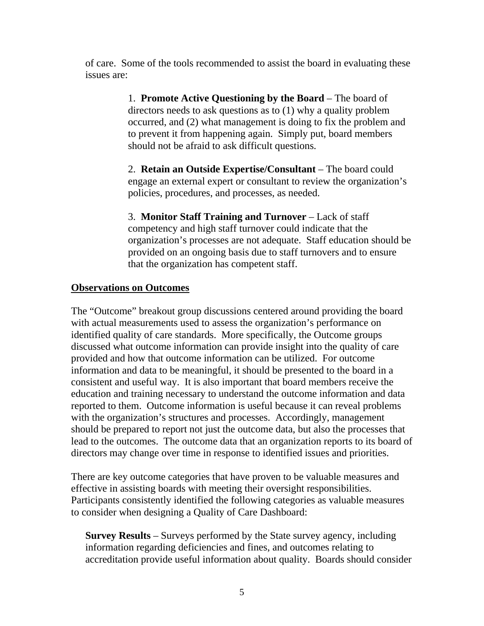of care. Some of the tools recommended to assist the board in evaluating these issues are:

> 1. **Promote Active Questioning by the Board** – The board of directors needs to ask questions as to (1) why a quality problem occurred, and (2) what management is doing to fix the problem and to prevent it from happening again. Simply put, board members should not be afraid to ask difficult questions.

> 2. **Retain an Outside Expertise/Consultant** – The board could engage an external expert or consultant to review the organization's policies, procedures, and processes, as needed.

3. **Monitor Staff Training and Turnover** – Lack of staff competency and high staff turnover could indicate that the organization's processes are not adequate. Staff education should be provided on an ongoing basis due to staff turnovers and to ensure that the organization has competent staff.

#### **Observations on Outcomes**

The "Outcome" breakout group discussions centered around providing the board with actual measurements used to assess the organization's performance on identified quality of care standards. More specifically, the Outcome groups discussed what outcome information can provide insight into the quality of care provided and how that outcome information can be utilized. For outcome information and data to be meaningful, it should be presented to the board in a consistent and useful way. It is also important that board members receive the education and training necessary to understand the outcome information and data reported to them. Outcome information is useful because it can reveal problems with the organization's structures and processes. Accordingly, management should be prepared to report not just the outcome data, but also the processes that lead to the outcomes. The outcome data that an organization reports to its board of directors may change over time in response to identified issues and priorities.

There are key outcome categories that have proven to be valuable measures and effective in assisting boards with meeting their oversight responsibilities. Participants consistently identified the following categories as valuable measures to consider when designing a Quality of Care Dashboard:

**Survey Results** – Surveys performed by the State survey agency, including information regarding deficiencies and fines, and outcomes relating to accreditation provide useful information about quality. Boards should consider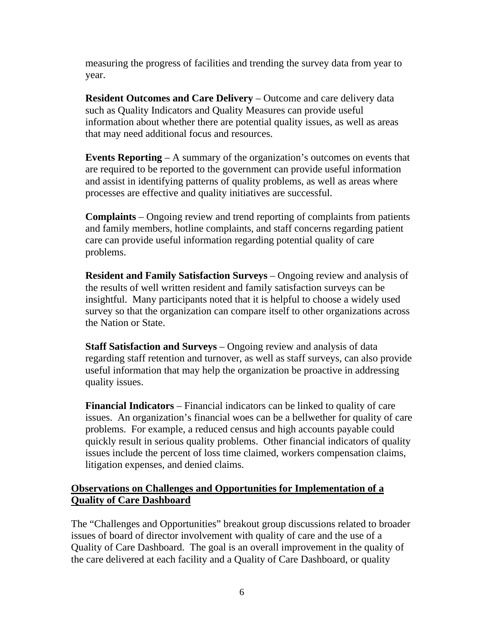measuring the progress of facilities and trending the survey data from year to year.

**Resident Outcomes and Care Delivery** – Outcome and care delivery data such as Quality Indicators and Quality Measures can provide useful information about whether there are potential quality issues, as well as areas that may need additional focus and resources.

**Events Reporting** – A summary of the organization's outcomes on events that are required to be reported to the government can provide useful information and assist in identifying patterns of quality problems, as well as areas where processes are effective and quality initiatives are successful.

**Complaints** – Ongoing review and trend reporting of complaints from patients and family members, hotline complaints, and staff concerns regarding patient care can provide useful information regarding potential quality of care problems.

**Resident and Family Satisfaction Surveys** – Ongoing review and analysis of the results of well written resident and family satisfaction surveys can be insightful. Many participants noted that it is helpful to choose a widely used survey so that the organization can compare itself to other organizations across the Nation or State.

**Staff Satisfaction and Surveys** – Ongoing review and analysis of data regarding staff retention and turnover, as well as staff surveys, can also provide useful information that may help the organization be proactive in addressing quality issues.

**Financial Indicators** – Financial indicators can be linked to quality of care issues. An organization's financial woes can be a bellwether for quality of care problems. For example, a reduced census and high accounts payable could quickly result in serious quality problems. Other financial indicators of quality issues include the percent of loss time claimed, workers compensation claims, litigation expenses, and denied claims.

### **Observations on Challenges and Opportunities for Implementation of a Quality of Care Dashboard**

The "Challenges and Opportunities" breakout group discussions related to broader issues of board of director involvement with quality of care and the use of a Quality of Care Dashboard. The goal is an overall improvement in the quality of the care delivered at each facility and a Quality of Care Dashboard, or quality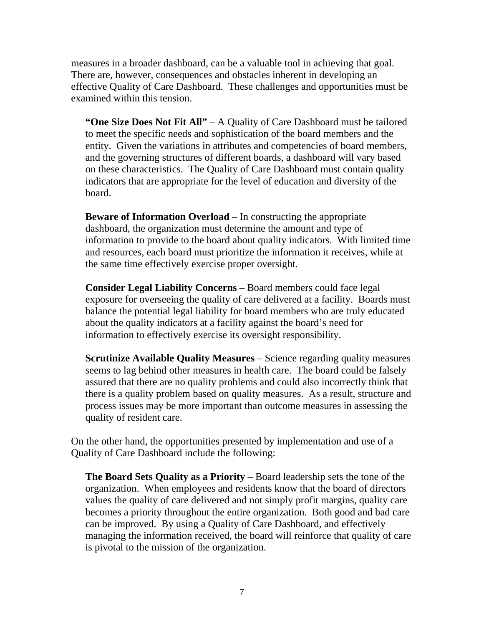measures in a broader dashboard, can be a valuable tool in achieving that goal. There are, however, consequences and obstacles inherent in developing an effective Quality of Care Dashboard. These challenges and opportunities must be examined within this tension.

**"One Size Does Not Fit All"** – A Quality of Care Dashboard must be tailored to meet the specific needs and sophistication of the board members and the entity. Given the variations in attributes and competencies of board members, and the governing structures of different boards, a dashboard will vary based on these characteristics. The Quality of Care Dashboard must contain quality indicators that are appropriate for the level of education and diversity of the board.

**Beware of Information Overload** – In constructing the appropriate dashboard, the organization must determine the amount and type of information to provide to the board about quality indicators. With limited time and resources, each board must prioritize the information it receives, while at the same time effectively exercise proper oversight.

**Consider Legal Liability Concerns** – Board members could face legal exposure for overseeing the quality of care delivered at a facility. Boards must balance the potential legal liability for board members who are truly educated about the quality indicators at a facility against the board's need for information to effectively exercise its oversight responsibility.

**Scrutinize Available Quality Measures** – Science regarding quality measures seems to lag behind other measures in health care. The board could be falsely assured that there are no quality problems and could also incorrectly think that there is a quality problem based on quality measures. As a result, structure and process issues may be more important than outcome measures in assessing the quality of resident care.

On the other hand, the opportunities presented by implementation and use of a Quality of Care Dashboard include the following:

**The Board Sets Quality as a Priority** – Board leadership sets the tone of the organization. When employees and residents know that the board of directors values the quality of care delivered and not simply profit margins, quality care becomes a priority throughout the entire organization. Both good and bad care can be improved. By using a Quality of Care Dashboard, and effectively managing the information received, the board will reinforce that quality of care is pivotal to the mission of the organization.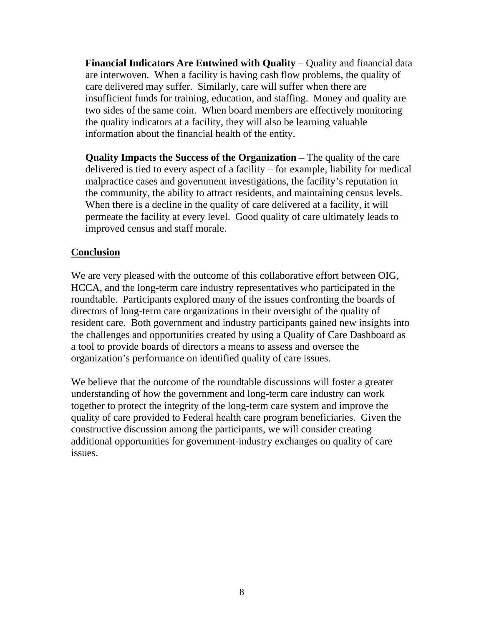**Financial Indicators Are Entwined with Quality** – Quality and financial data are interwoven. When a facility is having cash flow problems, the quality of care delivered may suffer. Similarly, care will suffer when there are insufficient funds for training, education, and staffing. Money and quality are two sides of the same coin. When board members are effectively monitoring the quality indicators at a facility, they will also be learning valuable information about the financial health of the entity.

**Quality Impacts the Success of the Organization** – The quality of the care delivered is tied to every aspect of a facility – for example, liability for medical malpractice cases and government investigations, the facility's reputation in the community, the ability to attract residents, and maintaining census levels. When there is a decline in the quality of care delivered at a facility, it will permeate the facility at every level. Good quality of care ultimately leads to improved census and staff morale.

#### **Conclusion**

We are very pleased with the outcome of this collaborative effort between OIG, HCCA, and the long-term care industry representatives who participated in the roundtable. Participants explored many of the issues confronting the boards of directors of long-term care organizations in their oversight of the quality of resident care. Both government and industry participants gained new insights into the challenges and opportunities created by using a Quality of Care Dashboard as a tool to provide boards of directors a means to assess and oversee the organization's performance on identified quality of care issues.

We believe that the outcome of the roundtable discussions will foster a greater understanding of how the government and long-term care industry can work together to protect the integrity of the long-term care system and improve the quality of care provided to Federal health care program beneficiaries. Given the constructive discussion among the participants, we will consider creating additional opportunities for government-industry exchanges on quality of care issues.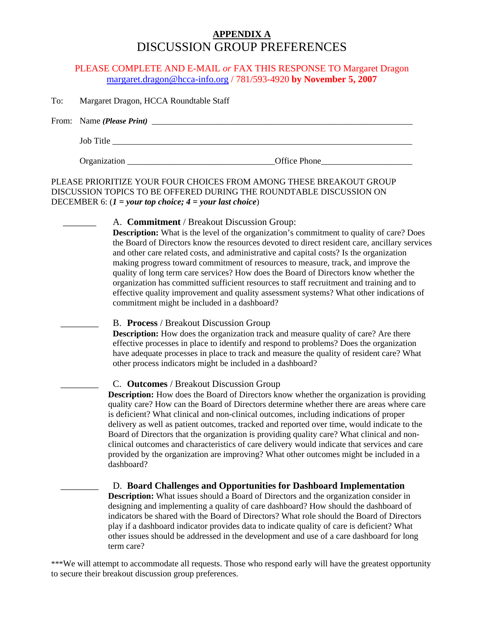## **APPENDIX A** DISCUSSION GROUP PREFERENCES

#### PLEASE COMPLETE AND E-MAIL *or* FAX THIS RESPONSE TO Margaret Dragon margaret.dragon@hcca-info.org / 781/593-4920 **by November 5, 2007**

To: Margaret Dragon, HCCA Roundtable Staff

| From: Name ( <i>Please Print</i> ) |              |
|------------------------------------|--------------|
| Job Title                          |              |
| Organization                       | Office Phone |

#### PLEASE PRIORITIZE YOUR FOUR CHOICES FROM AMONG THESE BREAKOUT GROUP DISCUSSION TOPICS TO BE OFFERED DURING THE ROUNDTABLE DISCUSSION ON DECEMBER 6: (*1 = your top choice; 4 = your last choice*)

#### A. **Commitment** / Breakout Discussion Group:

**Description:** What is the level of the organization's commitment to quality of care? Does the Board of Directors know the resources devoted to direct resident care, ancillary services and other care related costs, and administrative and capital costs? Is the organization making progress toward commitment of resources to measure, track, and improve the quality of long term care services? How does the Board of Directors know whether the organization has committed sufficient resources to staff recruitment and training and to effective quality improvement and quality assessment systems? What other indications of commitment might be included in a dashboard?

#### \_\_\_\_\_\_\_\_ B. **Process** / Breakout Discussion Group

**Description:** How does the organization track and measure quality of care? Are there effective processes in place to identify and respond to problems? Does the organization have adequate processes in place to track and measure the quality of resident care? What other process indicators might be included in a dashboard?

#### \_\_\_\_\_\_\_\_ C. **Outcomes** / Breakout Discussion Group

**Description:** How does the Board of Directors know whether the organization is providing quality care? How can the Board of Directors determine whether there are areas where care is deficient? What clinical and non-clinical outcomes, including indications of proper delivery as well as patient outcomes, tracked and reported over time, would indicate to the Board of Directors that the organization is providing quality care? What clinical and nonclinical outcomes and characteristics of care delivery would indicate that services and care provided by the organization are improving? What other outcomes might be included in a dashboard?

 \_\_\_\_\_\_\_\_ D. **Board Challenges and Opportunities for Dashboard Implementation Description:** What issues should a Board of Directors and the organization consider in designing and implementing a quality of care dashboard? How should the dashboard of indicators be shared with the Board of Directors? What role should the Board of Directors play if a dashboard indicator provides data to indicate quality of care is deficient? What other issues should be addressed in the development and use of a care dashboard for long term care?

\*\*\*We will attempt to accommodate all requests. Those who respond early will have the greatest opportunity to secure their breakout discussion group preferences.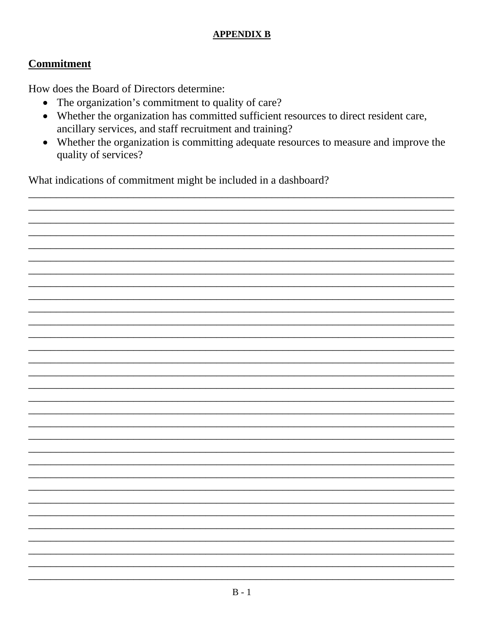## **APPENDIX B**

# **Commitment**

How does the Board of Directors determine:

- The organization's commitment to quality of care?
- Whether the organization has committed sufficient resources to direct resident care, ancillary services, and staff recruitment and training?
- Whether the organization is committing adequate resources to measure and improve the quality of services?

What indications of commitment might be included in a dashboard?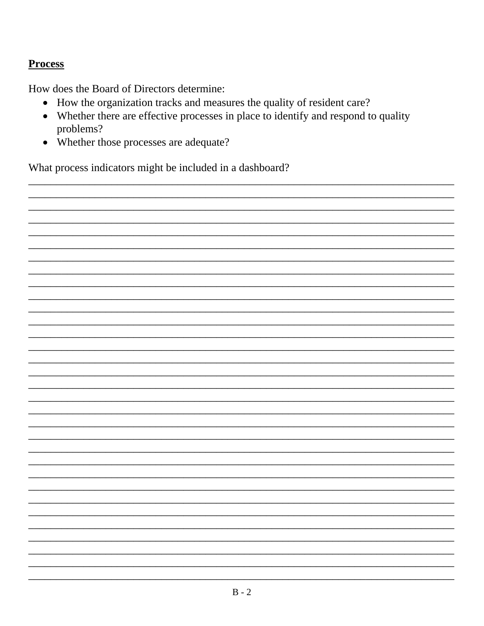# **Process**

How does the Board of Directors determine:

- How the organization tracks and measures the quality of resident care?
- Whether there are effective processes in place to identify and respond to quality problems?
- Whether those processes are adequate?

What process indicators might be included in a dashboard?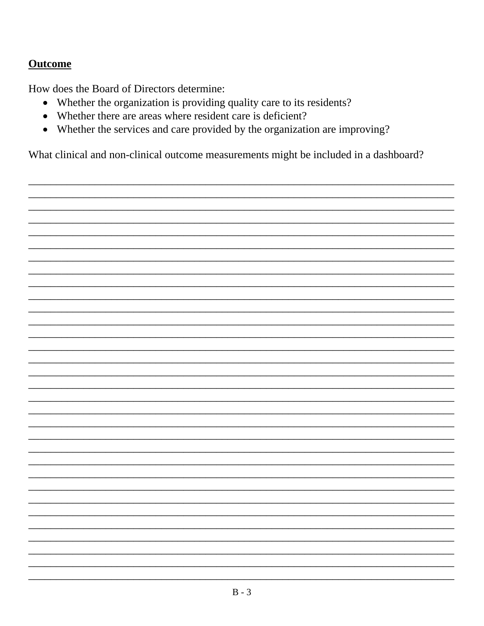# **Outcome**

How does the Board of Directors determine:

- Whether the organization is providing quality care to its residents?
- Whether there are areas where resident care is deficient?
- Whether the services and care provided by the organization are improving?

What clinical and non-clinical outcome measurements might be included in a dashboard?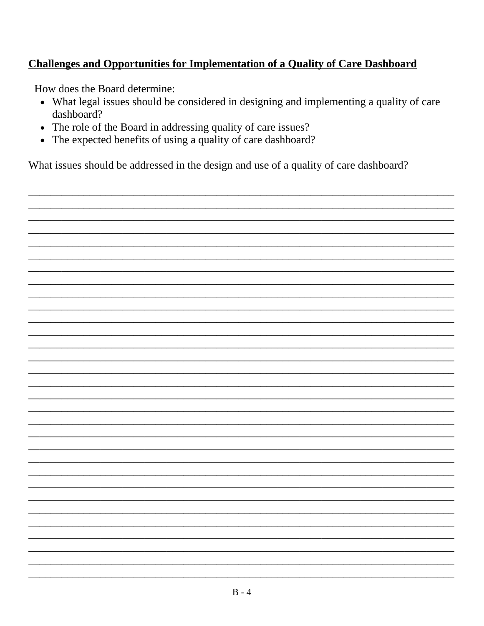# **Challenges and Opportunities for Implementation of a Quality of Care Dashboard**

How does the Board determine:

- What legal issues should be considered in designing and implementing a quality of care dashboard?
- The role of the Board in addressing quality of care issues?
- The expected benefits of using a quality of care dashboard?

What issues should be addressed in the design and use of a quality of care dashboard?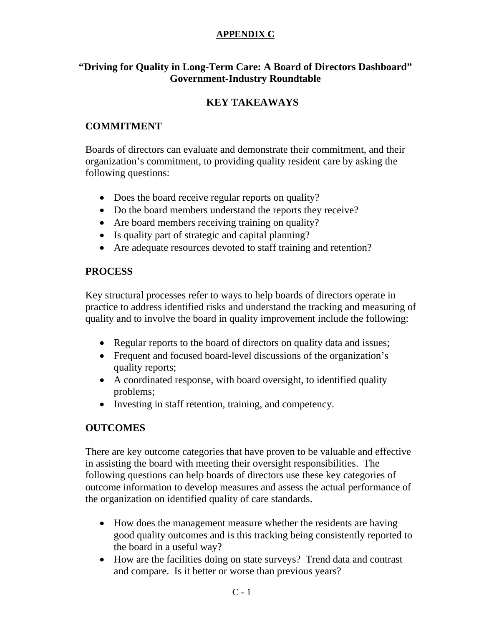#### **APPENDIX C**

### **"Driving for Quality in Long-Term Care: A Board of Directors Dashboard" Government-Industry Roundtable**

# **KEY TAKEAWAYS**

### **COMMITMENT**

Boards of directors can evaluate and demonstrate their commitment, and their organization's commitment, to providing quality resident care by asking the following questions:

- Does the board receive regular reports on quality?
- Do the board members understand the reports they receive?
- Are board members receiving training on quality?
- Is quality part of strategic and capital planning?
- Are adequate resources devoted to staff training and retention?

# **PROCESS**

Key structural processes refer to ways to help boards of directors operate in practice to address identified risks and understand the tracking and measuring of quality and to involve the board in quality improvement include the following:

- Regular reports to the board of directors on quality data and issues;
- Frequent and focused board-level discussions of the organization's quality reports;
- A coordinated response, with board oversight, to identified quality problems;
- Investing in staff retention, training, and competency.

# **OUTCOMES**

There are key outcome categories that have proven to be valuable and effective in assisting the board with meeting their oversight responsibilities. The following questions can help boards of directors use these key categories of outcome information to develop measures and assess the actual performance of the organization on identified quality of care standards.

- How does the management measure whether the residents are having good quality outcomes and is this tracking being consistently reported to the board in a useful way?
- How are the facilities doing on state surveys? Trend data and contrast and compare. Is it better or worse than previous years?